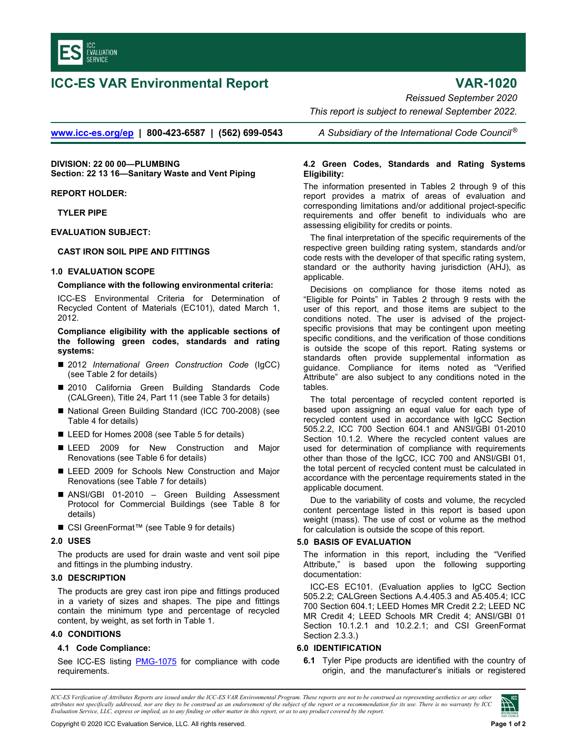

# **ICC-ES VAR Environmental Report VAR-1020**

*Reissued September 2020* 

 *This report is subject to renewal September 2022.* 

**www.icc-es.org/ep | 800-423-6587 | (562) 699-0543** *A Subsidiary of the International Code Council ®*

**DIVISION: 22 00 00—PLUMBING Section: 22 13 16—Sanitary Waste and Vent Piping**

**REPORT HOLDER:** 

**TYLER PIPE** 

**EVALUATION SUBJECT:** 

### **CAST IRON SOIL PIPE AND FITTINGS**

#### **1.0 EVALUATION SCOPE**

#### **Compliance with the following environmental criteria:**

ICC-ES Environmental Criteria for Determination of Recycled Content of Materials (EC101), dated March 1, 2012.

**Compliance eligibility with the applicable sections of the following green codes, standards and rating systems:** 

- 2012 *International Green Construction Code* (IgCC) (see Table 2 for details)
- 2010 California Green Building Standards Code (CALGreen), Title 24, Part 11 (see Table 3 for details)
- National Green Building Standard (ICC 700-2008) (see Table 4 for details)
- LEED for Homes 2008 (see Table 5 for details)
- **EXTEED 2009 for New Construction and Major** Renovations (see Table 6 for details)
- LEED 2009 for Schools New Construction and Major Renovations (see Table 7 for details)
- ANSI/GBI 01-2010 Green Building Assessment Protocol for Commercial Buildings (see Table 8 for details)
- CSI GreenFormat™ (see Table 9 for details)

#### **2.0 USES**

The products are used for drain waste and vent soil pipe and fittings in the plumbing industry.

#### **3.0 DESCRIPTION**

The products are grey cast iron pipe and fittings produced in a variety of sizes and shapes. The pipe and fittings contain the minimum type and percentage of recycled content, by weight, as set forth in Table 1.

#### **4.0 CONDITIONS**

## **4.1 Code Compliance:**

See ICC-ES listing **PMG-1075** for compliance with code requirements.

## **4.2 Green Codes, Standards and Rating Systems Eligibility:**

The information presented in Tables 2 through 9 of this report provides a matrix of areas of evaluation and corresponding limitations and/or additional project-specific requirements and offer benefit to individuals who are assessing eligibility for credits or points.

The final interpretation of the specific requirements of the respective green building rating system, standards and/or code rests with the developer of that specific rating system, standard or the authority having jurisdiction (AHJ), as applicable.

Decisions on compliance for those items noted as "Eligible for Points" in Tables 2 through 9 rests with the user of this report, and those items are subject to the conditions noted. The user is advised of the projectspecific provisions that may be contingent upon meeting specific conditions, and the verification of those conditions is outside the scope of this report. Rating systems or standards often provide supplemental information as guidance. Compliance for items noted as "Verified Attribute" are also subject to any conditions noted in the tables.

The total percentage of recycled content reported is based upon assigning an equal value for each type of recycled content used in accordance with IgCC Section 505.2.2, ICC 700 Section 604.1 and ANSI/GBI 01-2010 Section 10.1.2. Where the recycled content values are used for determination of compliance with requirements other than those of the IgCC, ICC 700 and ANSI/GBI 01, the total percent of recycled content must be calculated in accordance with the percentage requirements stated in the applicable document.

Due to the variability of costs and volume, the recycled content percentage listed in this report is based upon weight (mass). The use of cost or volume as the method for calculation is outside the scope of this report.

## **5.0 BASIS OF EVALUATION**

The information in this report, including the "Verified Attribute," is based upon the following supporting documentation:

ICC-ES EC101. (Evaluation applies to IgCC Section 505.2.2; CALGreen Sections A.4.405.3 and A5.405.4; ICC 700 Section 604.1; LEED Homes MR Credit 2.2; LEED NC MR Credit 4; LEED Schools MR Credit 4; ANSI/GBI 01 Section 10.1.2.1 and 10.2.2.1; and CSI GreenFormat Section 2.3.3.)

## **6.0 IDENTIFICATION**

**6.1** Tyler Pipe products are identified with the country of origin, and the manufacturer's initials or registered

*ICC-ES Verification of Attributes Reports are issued under the ICC-ES VAR Environmental Program. These reports are not to be construed as representing aesthetics or any other attributes not specifically addressed, nor are they to be construed as an endorsement of the subject of the report or a recommendation for its use. There is no warranty by ICC Evaluation Service, LLC, express or implied, as to any finding or other matter in this report, or as to any product covered by the report.*